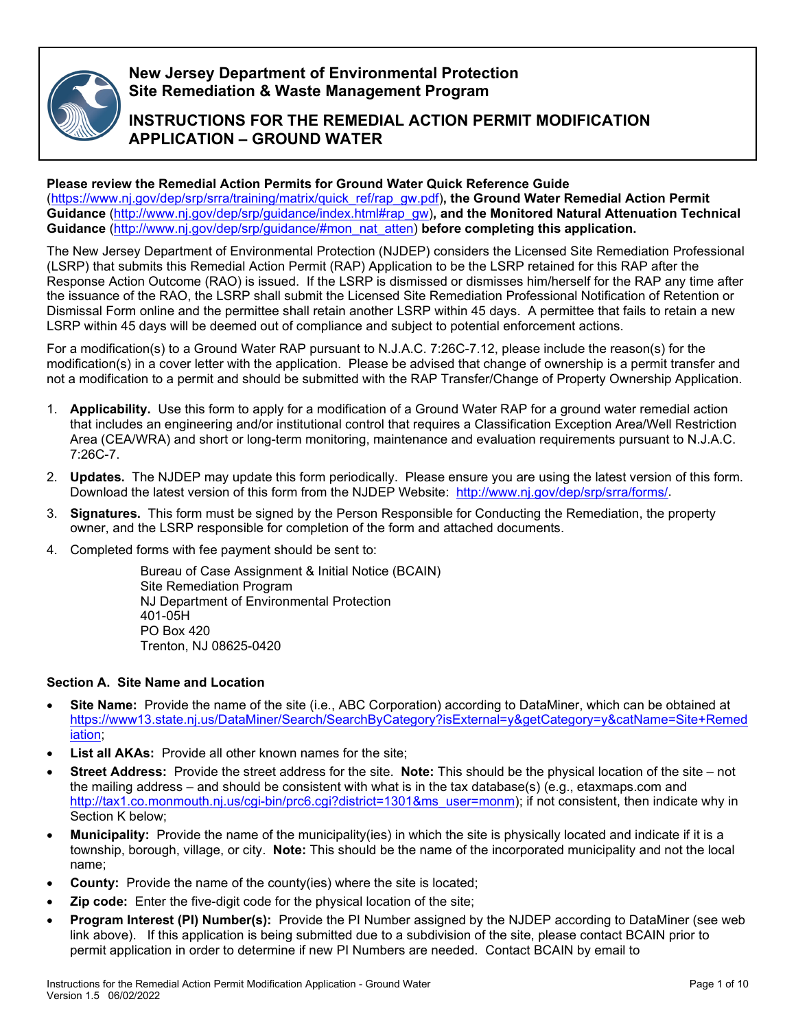

## **New Jersey Department of Environmental Protection Site Remediation & Waste Management Program**

# **INSTRUCTIONS FOR THE REMEDIAL ACTION PERMIT MODIFICATION APPLICATION – GROUND WATER**

## **Please review the Remedial Action Permits for Ground Water Quick Reference Guide**

[\(https://www.nj.gov/dep/srp/srra/training/matrix/quick\\_ref/rap\\_gw.pdf\)](https://www.nj.gov/dep/srp/srra/training/matrix/quick_ref/rap_gw.pdf)**, the Ground Water Remedial Action Permit Guidance** [\(http://www.nj.gov/dep/srp/guidance/index.html#rap\\_gw\)](http://www.nj.gov/dep/srp/guidance/index.html#rap_gw)**, and the Monitored Natural Attenuation Technical Guidance** [\(http://www.nj.gov/dep/srp/guidance/#mon\\_nat\\_atten\)](http://www.nj.gov/dep/srp/guidance/#mon_nat_atten) **before completing this application.**

The New Jersey Department of Environmental Protection (NJDEP) considers the Licensed Site Remediation Professional (LSRP) that submits this Remedial Action Permit (RAP) Application to be the LSRP retained for this RAP after the Response Action Outcome (RAO) is issued. If the LSRP is dismissed or dismisses him/herself for the RAP any time after the issuance of the RAO, the LSRP shall submit the Licensed Site Remediation Professional Notification of Retention or Dismissal Form online and the permittee shall retain another LSRP within 45 days. A permittee that fails to retain a new LSRP within 45 days will be deemed out of compliance and subject to potential enforcement actions.

For a modification(s) to a Ground Water RAP pursuant to N.J.A.C. 7:26C-7.12, please include the reason(s) for the modification(s) in a cover letter with the application. Please be advised that change of ownership is a permit transfer and not a modification to a permit and should be submitted with the RAP Transfer/Change of Property Ownership Application.

- 1. **Applicability.** Use this form to apply for a modification of a Ground Water RAP for a ground water remedial action that includes an engineering and/or institutional control that requires a Classification Exception Area/Well Restriction Area (CEA/WRA) and short or long-term monitoring, maintenance and evaluation requirements pursuant to N.J.A.C. 7:26C-7.
- 2. **Updates.** The NJDEP may update this form periodically. Please ensure you are using the latest version of this form. Download the latest version of this form from the NJDEP Website: [http://www.nj.gov/dep/srp/srra/forms/.](http://www.nj.gov/dep/srp/srra/forms/)
- 3. **Signatures.** This form must be signed by the Person Responsible for Conducting the Remediation, the property owner, and the LSRP responsible for completion of the form and attached documents.
- 4. Completed forms with fee payment should be sent to:

Bureau of Case Assignment & Initial Notice (BCAIN) Site Remediation Program NJ Department of Environmental Protection 401-05H PO Box 420 Trenton, NJ 08625-0420

### **Section A. Site Name and Location**

- **Site Name:** Provide the name of the site (i.e., ABC Corporation) according to DataMiner, which can be obtained at [https://www13.state.nj.us/DataMiner/Search/SearchByCategory?isExternal=y&getCategory=y&catName=Site+Remed](https://www13.state.nj.us/DataMiner/Search/SearchByCategory?isExternal=y&getCategory=y&catName=Site+Remediation) [iation;](https://www13.state.nj.us/DataMiner/Search/SearchByCategory?isExternal=y&getCategory=y&catName=Site+Remediation)
- **List all AKAs:** Provide all other known names for the site:
- **Street Address:** Provide the street address for the site. **Note:** This should be the physical location of the site not the mailing address – and should be consistent with what is in the tax database(s) (e.g., etaxmaps.com and [http://tax1.co.monmouth.nj.us/cgi-bin/prc6.cgi?district=1301&ms\\_user=monm\)](http://tax1.co.monmouth.nj.us/cgi-bin/prc6.cgi?district=1301&ms_user=monm); if not consistent, then indicate why in Section K below;
- **Municipality:** Provide the name of the municipality(ies) in which the site is physically located and indicate if it is a township, borough, village, or city. **Note:** This should be the name of the incorporated municipality and not the local name;
- **County:** Provide the name of the county(ies) where the site is located;
- **Zip code:** Enter the five-digit code for the physical location of the site;
- **Program Interest (PI) Number(s):** Provide the PI Number assigned by the NJDEP according to DataMiner (see web link above). If this application is being submitted due to a subdivision of the site, please contact BCAIN prior to permit application in order to determine if new PI Numbers are needed. Contact BCAIN by email to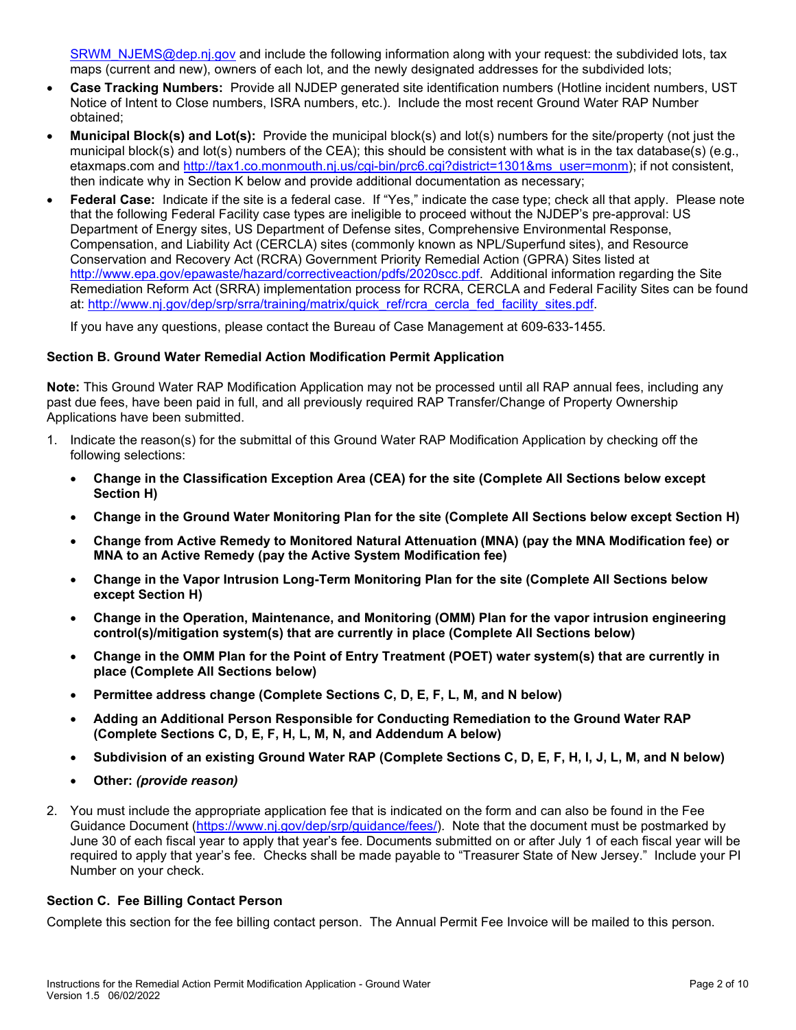[SRWM\\_NJEMS@dep.nj.gov](mailto:SRWM_NJEMS@dep.nj.gov) and include the following information along with your request: the subdivided lots, tax maps (current and new), owners of each lot, and the newly designated addresses for the subdivided lots;

- **Case Tracking Numbers:** Provide all NJDEP generated site identification numbers (Hotline incident numbers, UST Notice of Intent to Close numbers, ISRA numbers, etc.). Include the most recent Ground Water RAP Number obtained;
- **Municipal Block(s) and Lot(s):** Provide the municipal block(s) and lot(s) numbers for the site/property (not just the municipal block(s) and lot(s) numbers of the CEA); this should be consistent with what is in the tax database(s) (e.g., etaxmaps.com and [http://tax1.co.monmouth.nj.us/cgi-bin/prc6.cgi?district=1301&ms\\_user=monm\)](http://tax1.co.monmouth.nj.us/cgi-bin/prc6.cgi?district=1301&ms_user=monm); if not consistent, then indicate why in Section K below and provide additional documentation as necessary;
- **Federal Case:** Indicate if the site is a federal case. If "Yes," indicate the case type; check all that apply. Please note that the following Federal Facility case types are ineligible to proceed without the NJDEP's pre-approval: US Department of Energy sites, US Department of Defense sites, Comprehensive Environmental Response, Compensation, and Liability Act (CERCLA) sites (commonly known as NPL/Superfund sites), and Resource Conservation and Recovery Act (RCRA) Government Priority Remedial Action (GPRA) Sites listed at [http://www.epa.gov/epawaste/hazard/correctiveaction/pdfs/2020scc.pdf.](http://www.epa.gov/epawaste/hazard/correctiveaction/pdfs/2020scc.pdf) Additional information regarding the Site Remediation Reform Act (SRRA) implementation process for RCRA, CERCLA and Federal Facility Sites can be found at: [http://www.nj.gov/dep/srp/srra/training/matrix/quick\\_ref/rcra\\_cercla\\_fed\\_facility\\_sites.pdf.](http://www.nj.gov/dep/srp/srra/training/matrix/quick_ref/rcra_cercla_fed_facility_sites.pdf)

If you have any questions, please contact the Bureau of Case Management at 609-633-1455.

### **Section B. Ground Water Remedial Action Modification Permit Application**

**Note:** This Ground Water RAP Modification Application may not be processed until all RAP annual fees, including any past due fees, have been paid in full, and all previously required RAP Transfer/Change of Property Ownership Applications have been submitted.

- 1. Indicate the reason(s) for the submittal of this Ground Water RAP Modification Application by checking off the following selections:
	- **Change in the Classification Exception Area (CEA) for the site (Complete All Sections below except Section H)**
	- **Change in the Ground Water Monitoring Plan for the site (Complete All Sections below except Section H)**
	- **Change from Active Remedy to Monitored Natural Attenuation (MNA) (pay the MNA Modification fee) or MNA to an Active Remedy (pay the Active System Modification fee)**
	- **Change in the Vapor Intrusion Long-Term Monitoring Plan for the site (Complete All Sections below except Section H)**
	- **Change in the Operation, Maintenance, and Monitoring (OMM) Plan for the vapor intrusion engineering control(s)/mitigation system(s) that are currently in place (Complete All Sections below)**
	- **Change in the OMM Plan for the Point of Entry Treatment (POET) water system(s) that are currently in place (Complete All Sections below)**
	- **Permittee address change (Complete Sections C, D, E, F, L, M, and N below)**
	- **Adding an Additional Person Responsible for Conducting Remediation to the Ground Water RAP (Complete Sections C, D, E, F, H, L, M, N, and Addendum A below)**
	- **Subdivision of an existing Ground Water RAP (Complete Sections C, D, E, F, H, I, J, L, M, and N below)**
	- **Other:** *(provide reason)*
- 2. You must include the appropriate application fee that is indicated on the form and can also be found in the Fee Guidance Document [\(https://www.nj.gov/dep/srp/guidance/fees/\)](https://www.nj.gov/dep/srp/guidance/fees/). Note that the document must be postmarked by June 30 of each fiscal year to apply that year's fee. Documents submitted on or after July 1 of each fiscal year will be required to apply that year's fee. Checks shall be made payable to "Treasurer State of New Jersey." Include your PI Number on your check.

### **Section C. Fee Billing Contact Person**

Complete this section for the fee billing contact person. The Annual Permit Fee Invoice will be mailed to this person.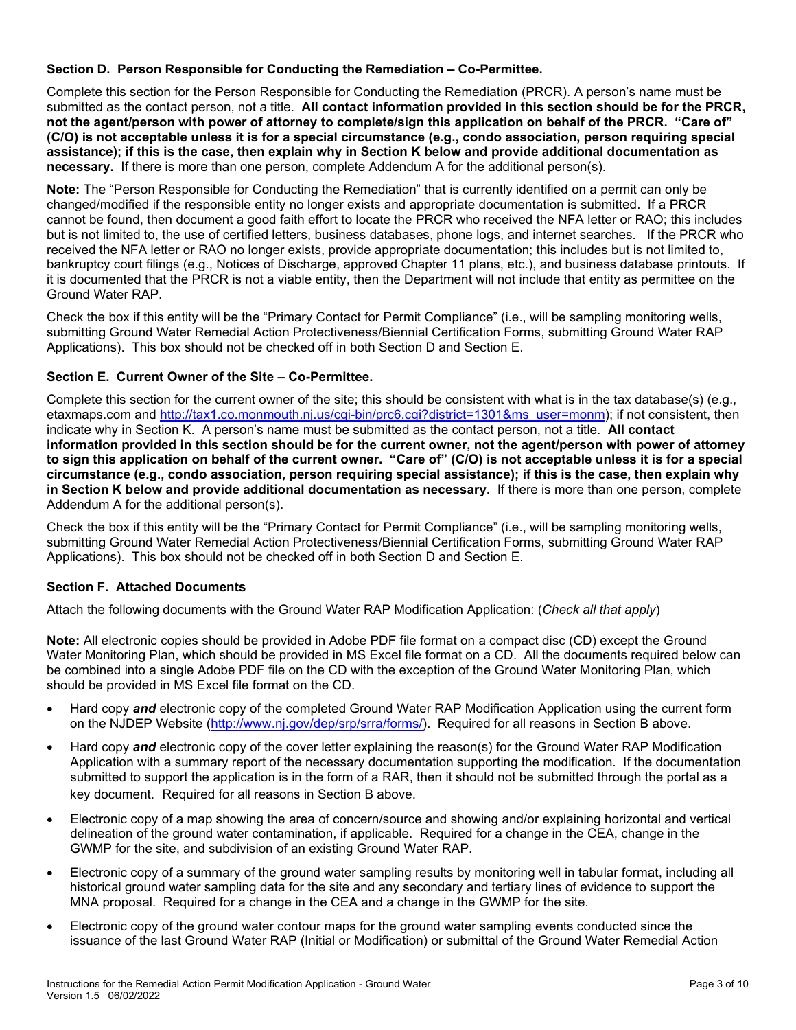### **Section D. Person Responsible for Conducting the Remediation – Co-Permittee.**

Complete this section for the Person Responsible for Conducting the Remediation (PRCR). A person's name must be submitted as the contact person, not a title. **All contact information provided in this section should be for the PRCR, not the agent/person with power of attorney to complete/sign this application on behalf of the PRCR. "Care of" (C/O) is not acceptable unless it is for a special circumstance (e.g., condo association, person requiring special assistance); if this is the case, then explain why in Section K below and provide additional documentation as necessary.** If there is more than one person, complete Addendum A for the additional person(s).

**Note:** The "Person Responsible for Conducting the Remediation" that is currently identified on a permit can only be changed/modified if the responsible entity no longer exists and appropriate documentation is submitted. If a PRCR cannot be found, then document a good faith effort to locate the PRCR who received the NFA letter or RAO; this includes but is not limited to, the use of certified letters, business databases, phone logs, and internet searches. If the PRCR who received the NFA letter or RAO no longer exists, provide appropriate documentation; this includes but is not limited to, bankruptcy court filings (e.g., Notices of Discharge, approved Chapter 11 plans, etc.), and business database printouts. If it is documented that the PRCR is not a viable entity, then the Department will not include that entity as permittee on the Ground Water RAP.

Check the box if this entity will be the "Primary Contact for Permit Compliance" (i.e., will be sampling monitoring wells, submitting Ground Water Remedial Action Protectiveness/Biennial Certification Forms, submitting Ground Water RAP Applications). This box should not be checked off in both Section D and Section E.

### **Section E. Current Owner of the Site – Co-Permittee.**

Complete this section for the current owner of the site; this should be consistent with what is in the tax database(s) (e.g., etaxmaps.com and [http://tax1.co.monmouth.nj.us/cgi-bin/prc6.cgi?district=1301&ms\\_user=monm\)](http://tax1.co.monmouth.nj.us/cgi-bin/prc6.cgi?district=1301&ms_user=monm); if not consistent, then indicate why in Section K. A person's name must be submitted as the contact person, not a title. **All contact information provided in this section should be for the current owner, not the agent/person with power of attorney to sign this application on behalf of the current owner. "Care of" (C/O) is not acceptable unless it is for a special circumstance (e.g., condo association, person requiring special assistance); if this is the case, then explain why in Section K below and provide additional documentation as necessary.** If there is more than one person, complete Addendum A for the additional person(s).

Check the box if this entity will be the "Primary Contact for Permit Compliance" (i.e., will be sampling monitoring wells, submitting Ground Water Remedial Action Protectiveness/Biennial Certification Forms, submitting Ground Water RAP Applications). This box should not be checked off in both Section D and Section E.

### **Section F. Attached Documents**

Attach the following documents with the Ground Water RAP Modification Application: (*Check all that apply*)

**Note:** All electronic copies should be provided in Adobe PDF file format on a compact disc (CD) except the Ground Water Monitoring Plan, which should be provided in MS Excel file format on a CD. All the documents required below can be combined into a single Adobe PDF file on the CD with the exception of the Ground Water Monitoring Plan, which should be provided in MS Excel file format on the CD.

- Hard copy *and* electronic copy of the completed Ground Water RAP Modification Application using the current form on the NJDEP Website [\(http://www.nj.gov/dep/srp/srra/forms/\)](http://www.nj.gov/dep/srp/srra/forms/). Required for all reasons in Section B above.
- Hard copy *and* electronic copy of the cover letter explaining the reason(s) for the Ground Water RAP Modification Application with a summary report of the necessary documentation supporting the modification. If the documentation submitted to support the application is in the form of a RAR, then it should not be submitted through the portal as a key document. Required for all reasons in Section B above.
- Electronic copy of a map showing the area of concern/source and showing and/or explaining horizontal and vertical delineation of the ground water contamination, if applicable. Required for a change in the CEA, change in the GWMP for the site, and subdivision of an existing Ground Water RAP.
- Electronic copy of a summary of the ground water sampling results by monitoring well in tabular format, including all historical ground water sampling data for the site and any secondary and tertiary lines of evidence to support the MNA proposal. Required for a change in the CEA and a change in the GWMP for the site.
- Electronic copy of the ground water contour maps for the ground water sampling events conducted since the issuance of the last Ground Water RAP (Initial or Modification) or submittal of the Ground Water Remedial Action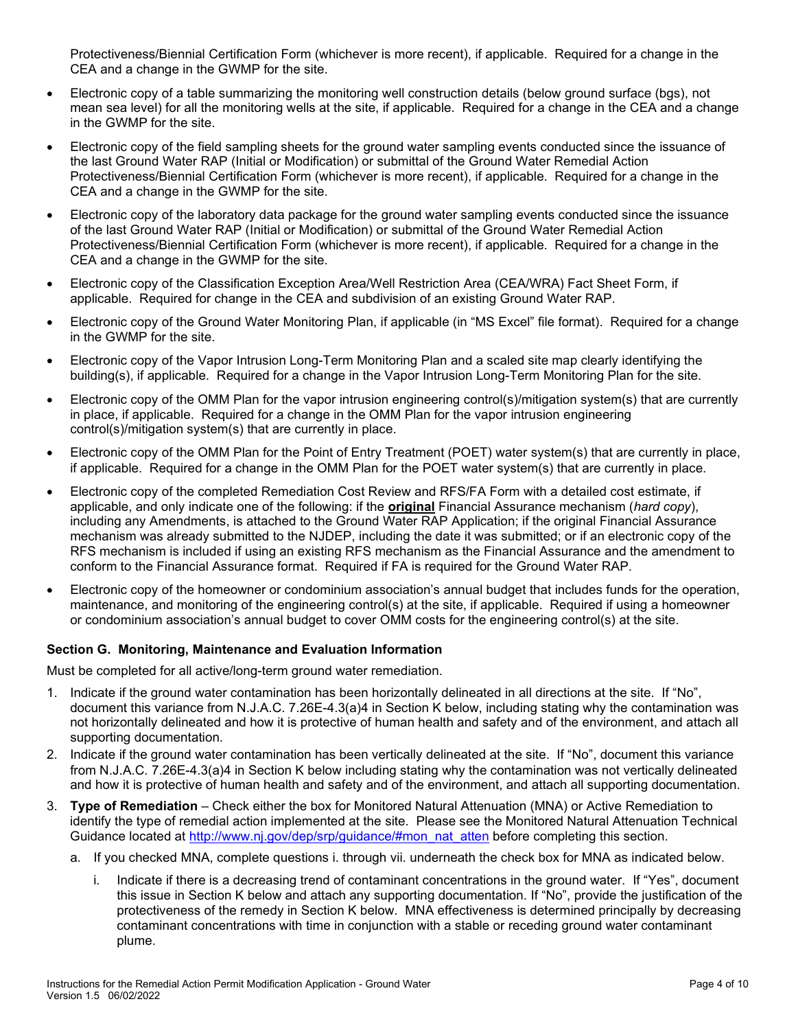Protectiveness/Biennial Certification Form (whichever is more recent), if applicable. Required for a change in the CEA and a change in the GWMP for the site.

- Electronic copy of a table summarizing the monitoring well construction details (below ground surface (bgs), not mean sea level) for all the monitoring wells at the site, if applicable. Required for a change in the CEA and a change in the GWMP for the site.
- Electronic copy of the field sampling sheets for the ground water sampling events conducted since the issuance of the last Ground Water RAP (Initial or Modification) or submittal of the Ground Water Remedial Action Protectiveness/Biennial Certification Form (whichever is more recent), if applicable. Required for a change in the CEA and a change in the GWMP for the site.
- Electronic copy of the laboratory data package for the ground water sampling events conducted since the issuance of the last Ground Water RAP (Initial or Modification) or submittal of the Ground Water Remedial Action Protectiveness/Biennial Certification Form (whichever is more recent), if applicable. Required for a change in the CEA and a change in the GWMP for the site.
- Electronic copy of the Classification Exception Area/Well Restriction Area (CEA/WRA) Fact Sheet Form, if applicable. Required for change in the CEA and subdivision of an existing Ground Water RAP.
- Electronic copy of the Ground Water Monitoring Plan, if applicable (in "MS Excel" file format). Required for a change in the GWMP for the site.
- Electronic copy of the Vapor Intrusion Long-Term Monitoring Plan and a scaled site map clearly identifying the building(s), if applicable. Required for a change in the Vapor Intrusion Long-Term Monitoring Plan for the site.
- Electronic copy of the OMM Plan for the vapor intrusion engineering control(s)/mitigation system(s) that are currently in place, if applicable. Required for a change in the OMM Plan for the vapor intrusion engineering control(s)/mitigation system(s) that are currently in place.
- Electronic copy of the OMM Plan for the Point of Entry Treatment (POET) water system(s) that are currently in place, if applicable. Required for a change in the OMM Plan for the POET water system(s) that are currently in place.
- Electronic copy of the completed Remediation Cost Review and RFS/FA Form with a detailed cost estimate, if applicable, and only indicate one of the following: if the **original** Financial Assurance mechanism (*hard copy*), including any Amendments, is attached to the Ground Water RAP Application; if the original Financial Assurance mechanism was already submitted to the NJDEP, including the date it was submitted; or if an electronic copy of the RFS mechanism is included if using an existing RFS mechanism as the Financial Assurance and the amendment to conform to the Financial Assurance format. Required if FA is required for the Ground Water RAP.
- Electronic copy of the homeowner or condominium association's annual budget that includes funds for the operation, maintenance, and monitoring of the engineering control(s) at the site, if applicable. Required if using a homeowner or condominium association's annual budget to cover OMM costs for the engineering control(s) at the site.

### **Section G. Monitoring, Maintenance and Evaluation Information**

Must be completed for all active/long-term ground water remediation.

- 1. Indicate if the ground water contamination has been horizontally delineated in all directions at the site. If "No", document this variance from N.J.A.C. 7.26E-4.3(a)4 in Section K below, including stating why the contamination was not horizontally delineated and how it is protective of human health and safety and of the environment, and attach all supporting documentation.
- 2. Indicate if the ground water contamination has been vertically delineated at the site. If "No", document this variance from N.J.A.C. 7.26E-4.3(a)4 in Section K below including stating why the contamination was not vertically delineated and how it is protective of human health and safety and of the environment, and attach all supporting documentation.
- 3. **Type of Remediation** Check either the box for Monitored Natural Attenuation (MNA) or Active Remediation to identify the type of remedial action implemented at the site. Please see the Monitored Natural Attenuation Technical Guidance located at [http://www.nj.gov/dep/srp/guidance/#mon\\_nat\\_atten](http://www.nj.gov/dep/srp/guidance/#mon_nat_atten) before completing this section.
	- a. If you checked MNA, complete questions i. through vii. underneath the check box for MNA as indicated below.
		- i. Indicate if there is a decreasing trend of contaminant concentrations in the ground water. If "Yes", document this issue in Section K below and attach any supporting documentation. If "No", provide the justification of the protectiveness of the remedy in Section K below. MNA effectiveness is determined principally by decreasing contaminant concentrations with time in conjunction with a stable or receding ground water contaminant plume.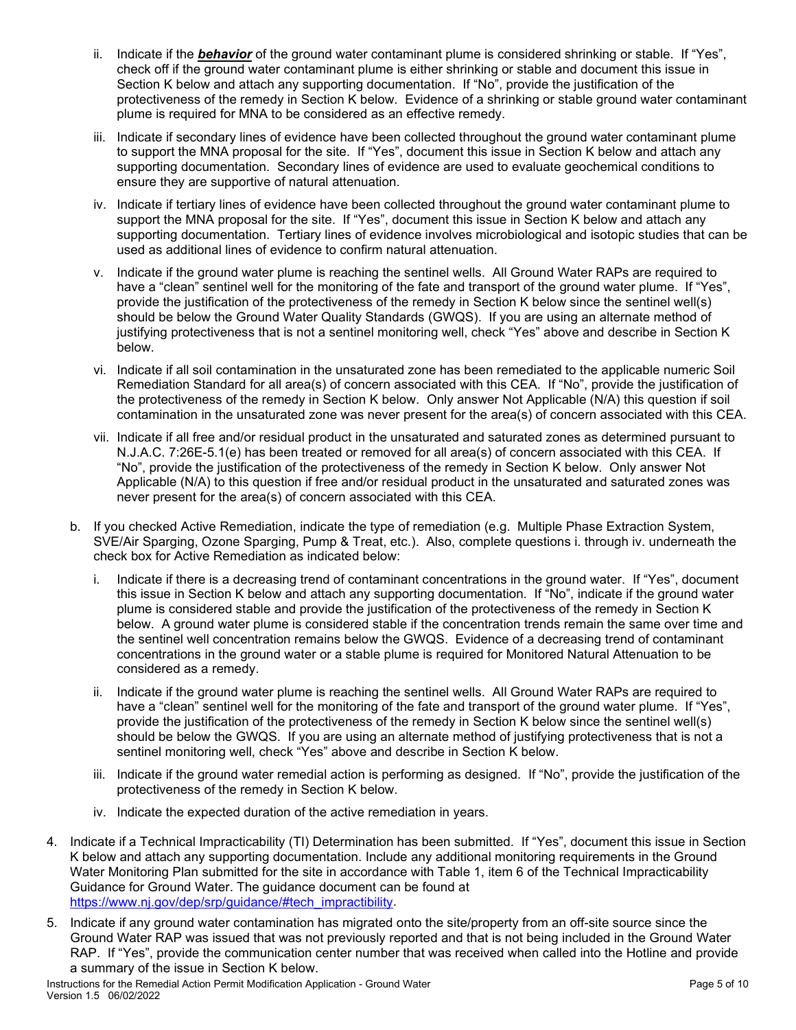- ii. Indicate if the *behavior* of the ground water contaminant plume is considered shrinking or stable. If "Yes", check off if the ground water contaminant plume is either shrinking or stable and document this issue in Section K below and attach any supporting documentation. If "No", provide the justification of the protectiveness of the remedy in Section K below. Evidence of a shrinking or stable ground water contaminant plume is required for MNA to be considered as an effective remedy.
- iii. Indicate if secondary lines of evidence have been collected throughout the ground water contaminant plume to support the MNA proposal for the site. If "Yes", document this issue in Section K below and attach any supporting documentation. Secondary lines of evidence are used to evaluate geochemical conditions to ensure they are supportive of natural attenuation.
- iv. Indicate if tertiary lines of evidence have been collected throughout the ground water contaminant plume to support the MNA proposal for the site. If "Yes", document this issue in Section K below and attach any supporting documentation. Tertiary lines of evidence involves microbiological and isotopic studies that can be used as additional lines of evidence to confirm natural attenuation.
- v. Indicate if the ground water plume is reaching the sentinel wells. All Ground Water RAPs are required to have a "clean" sentinel well for the monitoring of the fate and transport of the ground water plume. If "Yes", provide the justification of the protectiveness of the remedy in Section K below since the sentinel well(s) should be below the Ground Water Quality Standards (GWQS). If you are using an alternate method of justifying protectiveness that is not a sentinel monitoring well, check "Yes" above and describe in Section K below.
- vi. Indicate if all soil contamination in the unsaturated zone has been remediated to the applicable numeric Soil Remediation Standard for all area(s) of concern associated with this CEA. If "No", provide the justification of the protectiveness of the remedy in Section K below. Only answer Not Applicable (N/A) this question if soil contamination in the unsaturated zone was never present for the area(s) of concern associated with this CEA.
- vii. Indicate if all free and/or residual product in the unsaturated and saturated zones as determined pursuant to N.J.A.C. 7:26E-5.1(e) has been treated or removed for all area(s) of concern associated with this CEA. If "No", provide the justification of the protectiveness of the remedy in Section K below. Only answer Not Applicable (N/A) to this question if free and/or residual product in the unsaturated and saturated zones was never present for the area(s) of concern associated with this CEA.
- b. If you checked Active Remediation, indicate the type of remediation (e.g. Multiple Phase Extraction System, SVE/Air Sparging, Ozone Sparging, Pump & Treat, etc.). Also, complete questions i. through iv. underneath the check box for Active Remediation as indicated below:
	- i. Indicate if there is a decreasing trend of contaminant concentrations in the ground water. If "Yes", document this issue in Section K below and attach any supporting documentation. If "No", indicate if the ground water plume is considered stable and provide the justification of the protectiveness of the remedy in Section K below.A ground water plume is considered stable if the concentration trends remain the same over time and the sentinel well concentration remains below the GWQS. Evidence of a decreasing trend of contaminant concentrations in the ground water or a stable plume is required for Monitored Natural Attenuation to be considered as a remedy.
	- ii. Indicate if the ground water plume is reaching the sentinel wells. All Ground Water RAPs are required to have a "clean" sentinel well for the monitoring of the fate and transport of the ground water plume. If "Yes", provide the justification of the protectiveness of the remedy in Section K below since the sentinel well(s) should be below the GWQS. If you are using an alternate method of justifying protectiveness that is not a sentinel monitoring well, check "Yes" above and describe in Section K below.
	- iii. Indicate if the ground water remedial action is performing as designed. If "No", provide the justification of the protectiveness of the remedy in Section K below.
	- iv. Indicate the expected duration of the active remediation in years.
- 4. Indicate if a Technical Impracticability (TI) Determination has been submitted. If "Yes", document this issue in Section K below and attach any supporting documentation. Include any additional monitoring requirements in the Ground Water Monitoring Plan submitted for the site in accordance with Table 1, item 6 of the Technical Impracticability Guidance for Ground Water. The guidance document can be found at [https://www.nj.gov/dep/srp/guidance/#tech\\_impractibility.](https://www.nj.gov/dep/srp/guidance/#tech_impractibility)
- 5. Indicate if any ground water contamination has migrated onto the site/property from an off-site source since the Ground Water RAP was issued that was not previously reported and that is not being included in the Ground Water RAP. If "Yes", provide the communication center number that was received when called into the Hotline and provide a summary of the issue in Section K below.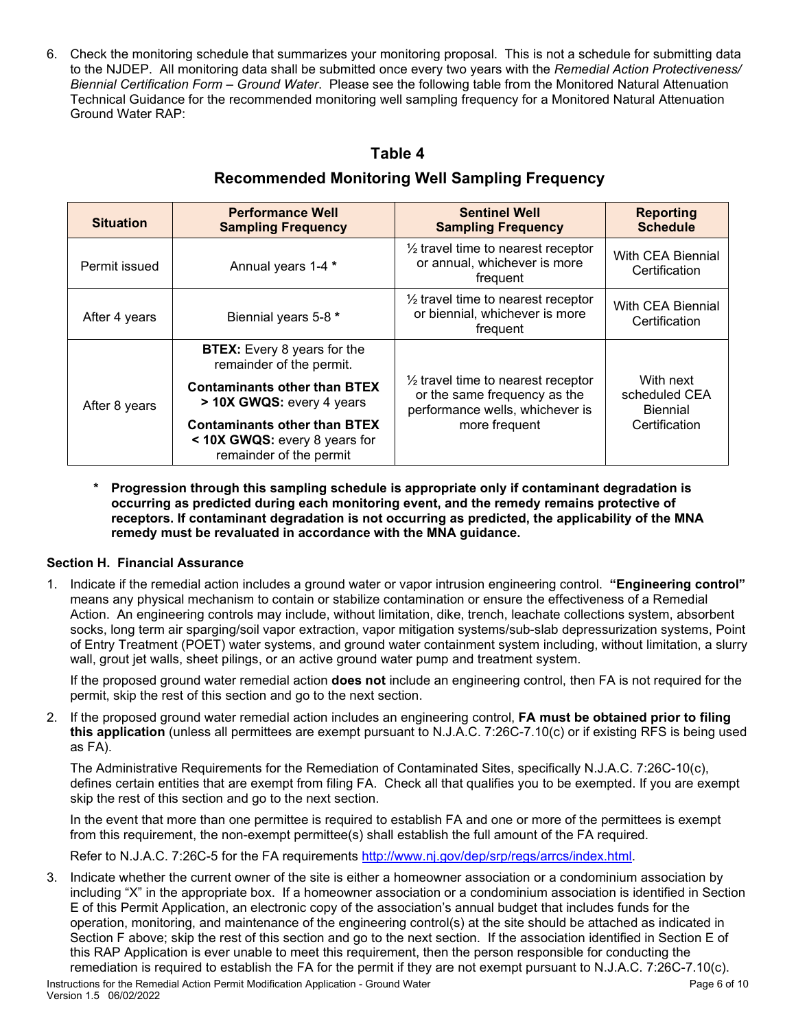6. Check the monitoring schedule that summarizes your monitoring proposal. This is not a schedule for submitting data to the NJDEP. All monitoring data shall be submitted once every two years with the *Remedial Action Protectiveness/ Biennial Certification Form – Ground Water*. Please see the following table from the Monitored Natural Attenuation Technical Guidance for the recommended monitoring well sampling frequency for a Monitored Natural Attenuation Ground Water RAP:

# **Table 4**

| <b>Situation</b> | <b>Performance Well</b><br><b>Sampling Frequency</b>                                            | <b>Sentinel Well</b><br><b>Sampling Frequency</b>                                                                                 | <b>Reporting</b><br><b>Schedule</b>                            |
|------------------|-------------------------------------------------------------------------------------------------|-----------------------------------------------------------------------------------------------------------------------------------|----------------------------------------------------------------|
| Permit issued    | Annual years 1-4 *                                                                              | $\frac{1}{2}$ travel time to nearest receptor<br>or annual, whichever is more<br>frequent                                         | With CEA Biennial<br>Certification                             |
| After 4 years    | Biennial years 5-8 *                                                                            | $\frac{1}{2}$ travel time to nearest receptor<br>or biennial, whichever is more<br>frequent                                       | With CEA Biennial<br>Certification                             |
| After 8 years    | <b>BTEX:</b> Every 8 years for the<br>remainder of the permit.                                  | $\frac{1}{2}$ travel time to nearest receptor<br>or the same frequency as the<br>performance wells, whichever is<br>more frequent | With next<br>scheduled CEA<br><b>Biennial</b><br>Certification |
|                  | <b>Contaminants other than BTEX</b><br>> 10X GWQS: every 4 years                                |                                                                                                                                   |                                                                |
|                  | <b>Contaminants other than BTEX</b><br>< 10X GWQS: every 8 years for<br>remainder of the permit |                                                                                                                                   |                                                                |

# **Recommended Monitoring Well Sampling Frequency**

**\* Progression through this sampling schedule is appropriate only if contaminant degradation is occurring as predicted during each monitoring event, and the remedy remains protective of receptors. If contaminant degradation is not occurring as predicted, the applicability of the MNA remedy must be revaluated in accordance with the MNA guidance.**

### **Section H. Financial Assurance**

1. Indicate if the remedial action includes a ground water or vapor intrusion engineering control. **"Engineering control"**  means any physical mechanism to contain or stabilize contamination or ensure the effectiveness of a Remedial Action. An engineering controls may include, without limitation, dike, trench, leachate collections system, absorbent socks, long term air sparging/soil vapor extraction, vapor mitigation systems/sub-slab depressurization systems, Point of Entry Treatment (POET) water systems, and ground water containment system including, without limitation, a slurry wall, grout jet walls, sheet pilings, or an active ground water pump and treatment system.

If the proposed ground water remedial action **does not** include an engineering control, then FA is not required for the permit, skip the rest of this section and go to the next section.

2. If the proposed ground water remedial action includes an engineering control, **FA must be obtained prior to filing this application** (unless all permittees are exempt pursuant to N.J.A.C. 7:26C-7.10(c) or if existing RFS is being used as FA).

The Administrative Requirements for the Remediation of Contaminated Sites, specifically N.J.A.C. 7:26C-10(c), defines certain entities that are exempt from filing FA. Check all that qualifies you to be exempted. If you are exempt skip the rest of this section and go to the next section.

In the event that more than one permittee is required to establish FA and one or more of the permittees is exempt from this requirement, the non-exempt permittee(s) shall establish the full amount of the FA required.

Refer to N.J.A.C. 7:26C-5 for the FA requirements [http://www.nj.gov/dep/srp/regs/arrcs/index.html.](http://www.nj.gov/dep/srp/regs/arrcs/index.html)

3. Indicate whether the current owner of the site is either a homeowner association or a condominium association by including "X" in the appropriate box. If a homeowner association or a condominium association is identified in Section E of this Permit Application, an electronic copy of the association's annual budget that includes funds for the operation, monitoring, and maintenance of the engineering control(s) at the site should be attached as indicated in Section F above; skip the rest of this section and go to the next section. If the association identified in Section E of this RAP Application is ever unable to meet this requirement, then the person responsible for conducting the remediation is required to establish the FA for the permit if they are not exempt pursuant to N.J.A.C. 7:26C-7.10(c).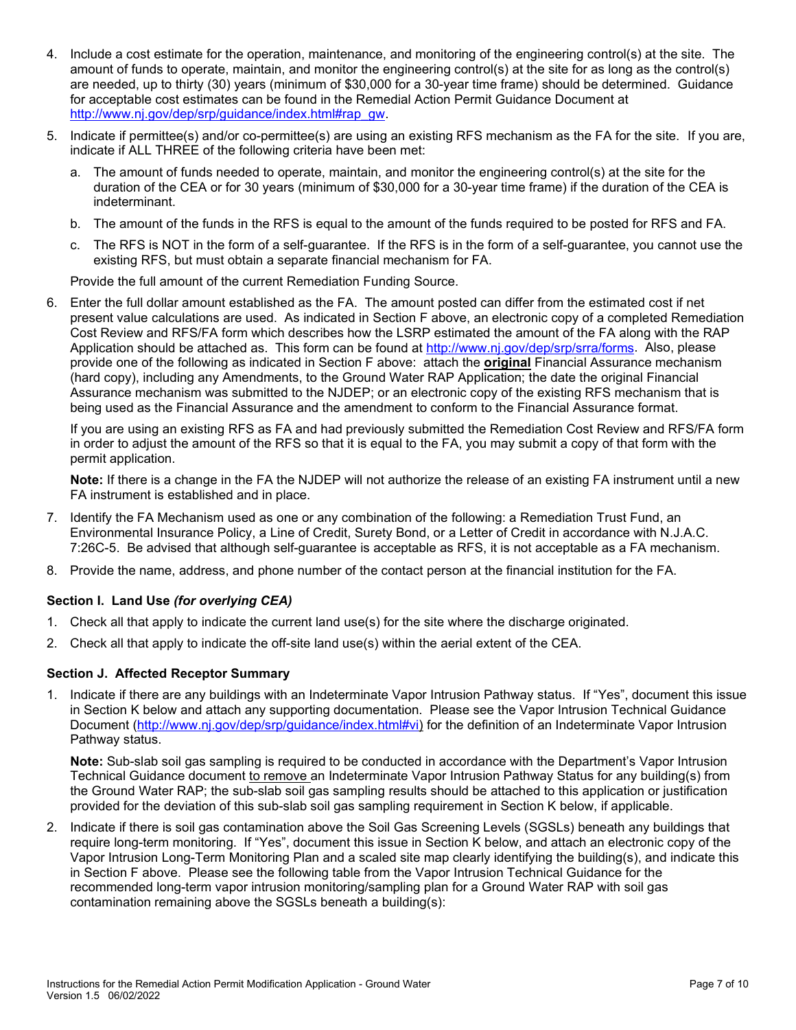- 4. Include a cost estimate for the operation, maintenance, and monitoring of the engineering control(s) at the site. The amount of funds to operate, maintain, and monitor the engineering control(s) at the site for as long as the control(s) are needed, up to thirty (30) years (minimum of \$30,000 for a 30-year time frame) should be determined. Guidance for acceptable cost estimates can be found in the Remedial Action Permit Guidance Document at [http://www.nj.gov/dep/srp/guidance/index.html#rap\\_gw.](http://www.nj.gov/dep/srp/guidance/index.html#rap_gw)
- 5. Indicate if permittee(s) and/or co-permittee(s) are using an existing RFS mechanism as the FA for the site. If you are, indicate if ALL THREE of the following criteria have been met:
	- a. The amount of funds needed to operate, maintain, and monitor the engineering control(s) at the site for the duration of the CEA or for 30 years (minimum of \$30,000 for a 30-year time frame) if the duration of the CEA is indeterminant.
	- b. The amount of the funds in the RFS is equal to the amount of the funds required to be posted for RFS and FA.
	- c. The RFS is NOT in the form of a self-guarantee. If the RFS is in the form of a self-guarantee, you cannot use the existing RFS, but must obtain a separate financial mechanism for FA.

Provide the full amount of the current Remediation Funding Source.

6. Enter the full dollar amount established as the FA. The amount posted can differ from the estimated cost if net present value calculations are used. As indicated in Section F above, an electronic copy of a completed Remediation Cost Review and RFS/FA form which describes how the LSRP estimated the amount of the FA along with the RAP Application should be attached as. This form can be found at [http://www.nj.gov/dep/srp/srra/forms.](http://www.nj.gov/dep/srp/srra/forms) Also, please provide one of the following as indicated in Section F above: attach the **original** Financial Assurance mechanism (hard copy), including any Amendments, to the Ground Water RAP Application; the date the original Financial Assurance mechanism was submitted to the NJDEP; or an electronic copy of the existing RFS mechanism that is being used as the Financial Assurance and the amendment to conform to the Financial Assurance format.

If you are using an existing RFS as FA and had previously submitted the Remediation Cost Review and RFS/FA form in order to adjust the amount of the RFS so that it is equal to the FA, you may submit a copy of that form with the permit application.

**Note:** If there is a change in the FA the NJDEP will not authorize the release of an existing FA instrument until a new FA instrument is established and in place.

- 7. Identify the FA Mechanism used as one or any combination of the following: a Remediation Trust Fund, an Environmental Insurance Policy, a Line of Credit, Surety Bond, or a Letter of Credit in accordance with N.J.A.C. 7:26C-5. Be advised that although self-guarantee is acceptable as RFS, it is not acceptable as a FA mechanism.
- 8. Provide the name, address, and phone number of the contact person at the financial institution for the FA.

### **Section I. Land Use** *(for overlying CEA)*

- 1. Check all that apply to indicate the current land use(s) for the site where the discharge originated.
- 2. Check all that apply to indicate the off-site land use(s) within the aerial extent of the CEA.

### **Section J. Affected Receptor Summary**

1. Indicate if there are any buildings with an Indeterminate Vapor Intrusion Pathway status. If "Yes", document this issue in Section K below and attach any supporting documentation. Please see the Vapor Intrusion Technical Guidance Document [\(http://www.nj.gov/dep/srp/guidance/index.html#vi\)](http://www.nj.gov/dep/srp/guidance/index.html#vi) for the definition of an Indeterminate Vapor Intrusion Pathway status.

**Note:** Sub-slab soil gas sampling is required to be conducted in accordance with the Department's Vapor Intrusion Technical Guidance document to remove an Indeterminate Vapor Intrusion Pathway Status for any building(s) from the Ground Water RAP; the sub-slab soil gas sampling results should be attached to this application or justification provided for the deviation of this sub-slab soil gas sampling requirement in Section K below, if applicable.

2. Indicate if there is soil gas contamination above the Soil Gas Screening Levels (SGSLs) beneath any buildings that require long-term monitoring. If "Yes", document this issue in Section K below, and attach an electronic copy of the Vapor Intrusion Long-Term Monitoring Plan and a scaled site map clearly identifying the building(s), and indicate this in Section F above. Please see the following table from the Vapor Intrusion Technical Guidance for the recommended long-term vapor intrusion monitoring/sampling plan for a Ground Water RAP with soil gas contamination remaining above the SGSLs beneath a building(s):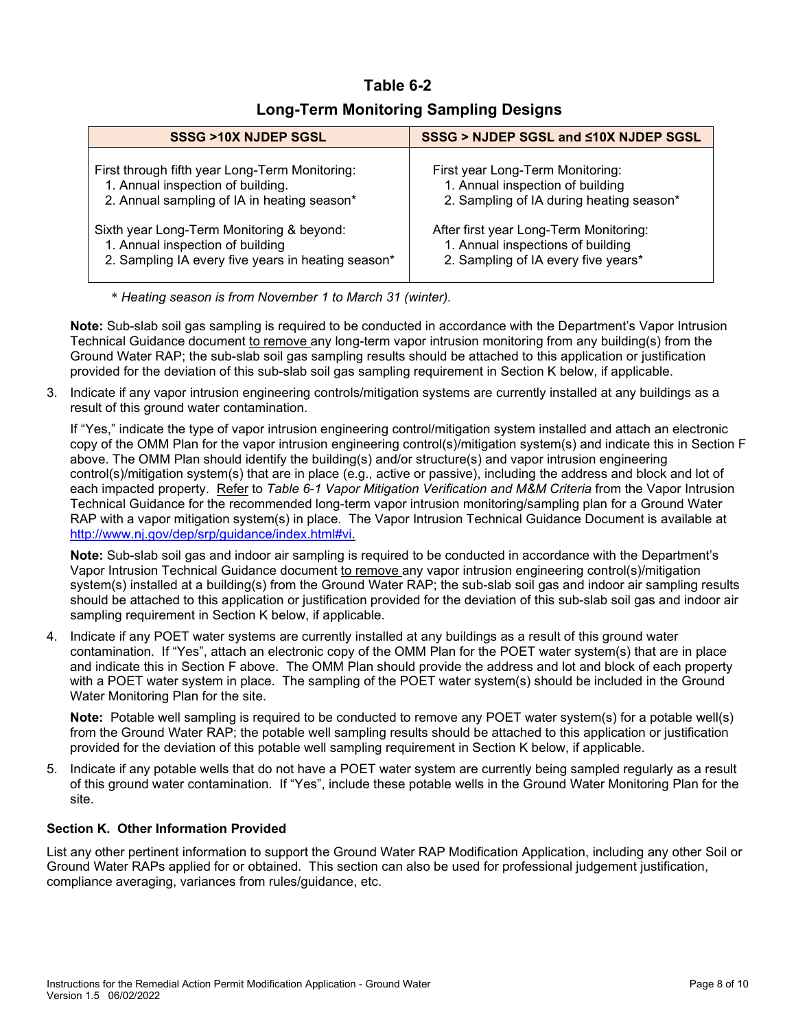# **Table 6-2**

## **Long-Term Monitoring Sampling Designs**

| SSSG >10X NJDEP SGSL                               | SSSG > NJDEP SGSL and <10X NJDEP SGSL    |
|----------------------------------------------------|------------------------------------------|
| First through fifth year Long-Term Monitoring:     | First year Long-Term Monitoring:         |
| 1. Annual inspection of building.                  | 1. Annual inspection of building         |
| 2. Annual sampling of IA in heating season*        | 2. Sampling of IA during heating season* |
| Sixth year Long-Term Monitoring & beyond:          | After first year Long-Term Monitoring:   |
| 1. Annual inspection of building                   | 1. Annual inspections of building        |
| 2. Sampling IA every five years in heating season* | 2. Sampling of IA every five years*      |

\* *Heating season is from November 1 to March 31 (winter).*

**Note:** Sub-slab soil gas sampling is required to be conducted in accordance with the Department's Vapor Intrusion Technical Guidance document to remove any long-term vapor intrusion monitoring from any building(s) from the Ground Water RAP; the sub-slab soil gas sampling results should be attached to this application or justification provided for the deviation of this sub-slab soil gas sampling requirement in Section K below, if applicable.

3. Indicate if any vapor intrusion engineering controls/mitigation systems are currently installed at any buildings as a result of this ground water contamination.

If "Yes," indicate the type of vapor intrusion engineering control/mitigation system installed and attach an electronic copy of the OMM Plan for the vapor intrusion engineering control(s)/mitigation system(s) and indicate this in Section F above. The OMM Plan should identify the building(s) and/or structure(s) and vapor intrusion engineering control(s)/mitigation system(s) that are in place (e.g., active or passive), including the address and block and lot of each impacted property. Refer to *Table 6-1 Vapor Mitigation Verification and M&M Criteria* from the Vapor Intrusion Technical Guidance for the recommended long-term vapor intrusion monitoring/sampling plan for a Ground Water RAP with a vapor mitigation system(s) in place. The Vapor Intrusion Technical Guidance Document is available at http://www.nj.gov/dep/srp/guidance/index.html#vi.

**Note:** Sub-slab soil gas and indoor air sampling is required to be conducted in accordance with the Department's Vapor Intrusion Technical Guidance document to remove any vapor intrusion engineering control(s)/mitigation system(s) installed at a building(s) from the Ground Water RAP; the sub-slab soil gas and indoor air sampling results should be attached to this application or justification provided for the deviation of this sub-slab soil gas and indoor air sampling requirement in Section K below, if applicable.

4. Indicate if any POET water systems are currently installed at any buildings as a result of this ground water contamination. If "Yes", attach an electronic copy of the OMM Plan for the POET water system(s) that are in place and indicate this in Section F above. The OMM Plan should provide the address and lot and block of each property with a POET water system in place. The sampling of the POET water system(s) should be included in the Ground Water Monitoring Plan for the site.

**Note:** Potable well sampling is required to be conducted to remove any POET water system(s) for a potable well(s) from the Ground Water RAP; the potable well sampling results should be attached to this application or justification provided for the deviation of this potable well sampling requirement in Section K below, if applicable.

5. Indicate if any potable wells that do not have a POET water system are currently being sampled regularly as a result of this ground water contamination. If "Yes", include these potable wells in the Ground Water Monitoring Plan for the site.

### **Section K. Other Information Provided**

List any other pertinent information to support the Ground Water RAP Modification Application, including any other Soil or Ground Water RAPs applied for or obtained. This section can also be used for professional judgement justification, compliance averaging, variances from rules/guidance, etc.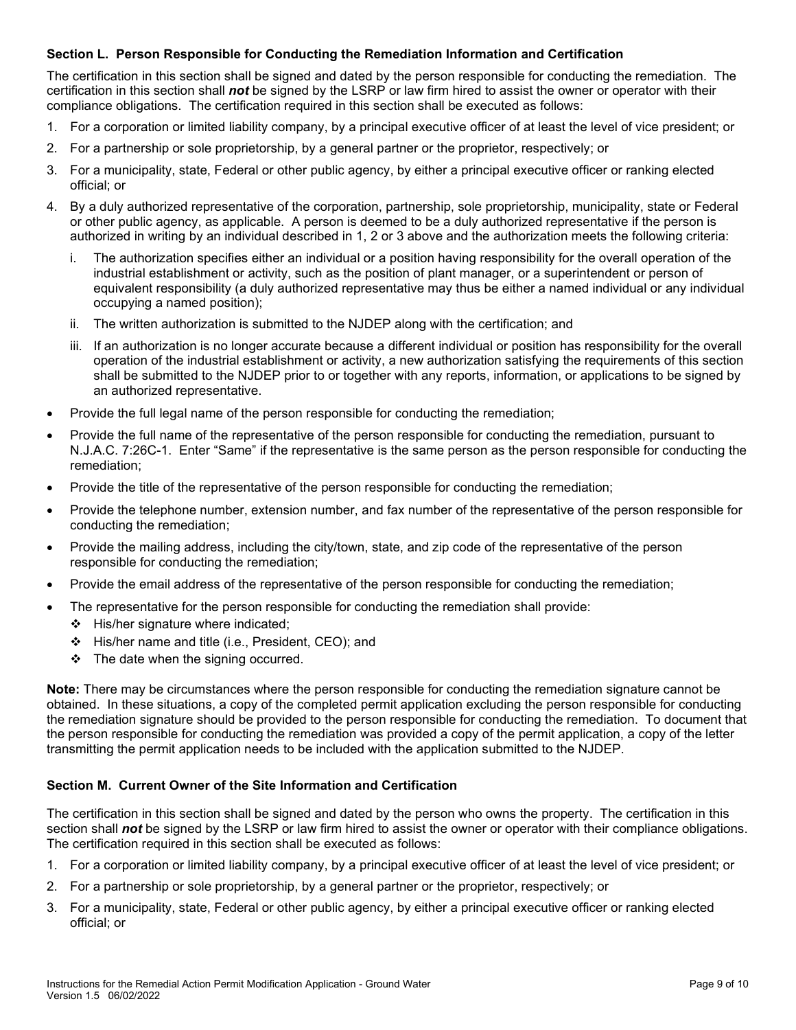### **Section L. Person Responsible for Conducting the Remediation Information and Certification**

The certification in this section shall be signed and dated by the person responsible for conducting the remediation. The certification in this section shall *not* be signed by the LSRP or law firm hired to assist the owner or operator with their compliance obligations. The certification required in this section shall be executed as follows:

- 1. For a corporation or limited liability company, by a principal executive officer of at least the level of vice president; or
- 2. For a partnership or sole proprietorship, by a general partner or the proprietor, respectively; or
- 3. For a municipality, state, Federal or other public agency, by either a principal executive officer or ranking elected official; or
- 4. By a duly authorized representative of the corporation, partnership, sole proprietorship, municipality, state or Federal or other public agency, as applicable. A person is deemed to be a duly authorized representative if the person is authorized in writing by an individual described in 1, 2 or 3 above and the authorization meets the following criteria:
	- i. The authorization specifies either an individual or a position having responsibility for the overall operation of the industrial establishment or activity, such as the position of plant manager, or a superintendent or person of equivalent responsibility (a duly authorized representative may thus be either a named individual or any individual occupying a named position);
	- ii. The written authorization is submitted to the NJDEP along with the certification; and
	- iii. If an authorization is no longer accurate because a different individual or position has responsibility for the overall operation of the industrial establishment or activity, a new authorization satisfying the requirements of this section shall be submitted to the NJDEP prior to or together with any reports, information, or applications to be signed by an authorized representative.
- Provide the full legal name of the person responsible for conducting the remediation;
- Provide the full name of the representative of the person responsible for conducting the remediation, pursuant to N.J.A.C. 7:26C-1. Enter "Same" if the representative is the same person as the person responsible for conducting the remediation;
- Provide the title of the representative of the person responsible for conducting the remediation;
- Provide the telephone number, extension number, and fax number of the representative of the person responsible for conducting the remediation;
- Provide the mailing address, including the city/town, state, and zip code of the representative of the person responsible for conducting the remediation;
- Provide the email address of the representative of the person responsible for conducting the remediation;
- The representative for the person responsible for conducting the remediation shall provide:
	- $\div$  His/her signature where indicated:
	- His/her name and title (i.e., President, CEO); and
	- $\div$  The date when the signing occurred.

**Note:** There may be circumstances where the person responsible for conducting the remediation signature cannot be obtained. In these situations, a copy of the completed permit application excluding the person responsible for conducting the remediation signature should be provided to the person responsible for conducting the remediation. To document that the person responsible for conducting the remediation was provided a copy of the permit application, a copy of the letter transmitting the permit application needs to be included with the application submitted to the NJDEP.

### **Section M. Current Owner of the Site Information and Certification**

The certification in this section shall be signed and dated by the person who owns the property. The certification in this section shall **not** be signed by the LSRP or law firm hired to assist the owner or operator with their compliance obligations. The certification required in this section shall be executed as follows:

- 1. For a corporation or limited liability company, by a principal executive officer of at least the level of vice president; or
- 2. For a partnership or sole proprietorship, by a general partner or the proprietor, respectively; or
- 3. For a municipality, state, Federal or other public agency, by either a principal executive officer or ranking elected official; or